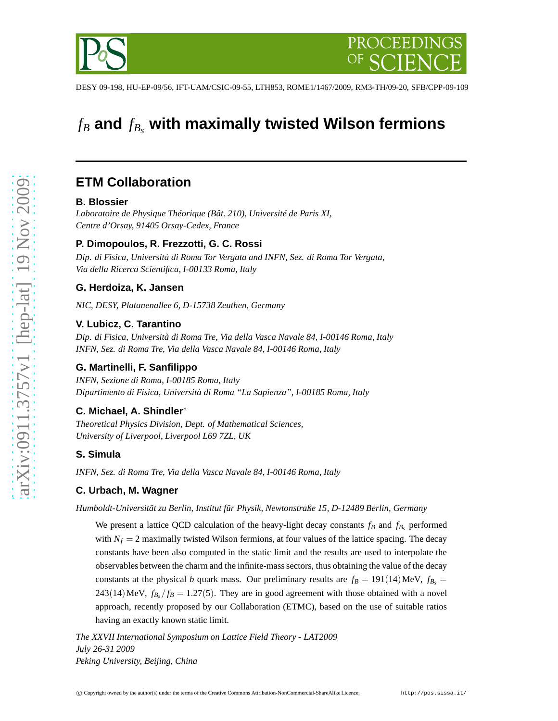# *f<sup>B</sup>* **and** *f<sup>B</sup><sup>s</sup>* **with maximally twisted Wilson fermions**

## **ETM Collaboration**

## **B. Blossier**

*Laboratoire de Physique Théorique (Bât. 210), Université de Paris XI, Centre d'Orsay, 91405 Orsay-Cedex, France*

## **P. Dimopoulos, R. Frezzotti, G. C. Rossi**

*Dip. di Fisica, Università di Roma Tor Vergata and INFN, Sez. di Roma Tor Vergata, Via della Ricerca Scientifica, I-00133 Roma, Italy*

## **G. Herdoiza, K. Jansen**

*NIC, DESY, Platanenallee 6, D-15738 Zeuthen, Germany*

## **V. Lubicz, C. Tarantino**

*Dip. di Fisica, Università di Roma Tre, Via della Vasca Navale 84, I-00146 Roma, Italy INFN, Sez. di Roma Tre, Via della Vasca Navale 84, I-00146 Roma, Italy*

## **G. Martinelli, F. Sanfilippo**

*INFN, Sezione di Roma, I-00185 Roma, Italy Dipartimento di Fisica, Università di Roma "La Sapienza", I-00185 Roma, Italy*

## **C. Michael, A. Shindler**∗

*Theoretical Physics Division, Dept. of Mathematical Sciences, University of Liverpool, Liverpool L69 7ZL, UK*

## **S. Simula**

*INFN, Sez. di Roma Tre, Via della Vasca Navale 84, I-00146 Roma, Italy*

## **C. Urbach, M. Wagner**

*Humboldt-Universität zu Berlin, Institut für Physik, Newtonstraße 15, D-12489 Berlin, Germany*

We present a lattice QCD calculation of the heavy-light decay constants  $f_B$  and  $f_{B_s}$  performed with  $N_f = 2$  maximally twisted Wilson fermions, at four values of the lattice spacing. The decay constants have been also computed in the static limit and the results are used to interpolate the observables between the charm and the infinite-mass sectors, thus obtaining the value of the decay constants at the physical *b* quark mass. Our preliminary results are  $f_B = 191(14)$  MeV,  $f_{B_s} =$  $243(14)$  MeV,  $f_{B_s}/f_B = 1.27(5)$ . They are in good agreement with those obtained with a novel approach, recently proposed by our Collaboration (ETMC), based on the use of suitable ratios having an exactly known static limit.

*The XXVII International Symposium on Lattice Field Theory - LAT2009 July 26-31 2009 Peking University, Beijing, China*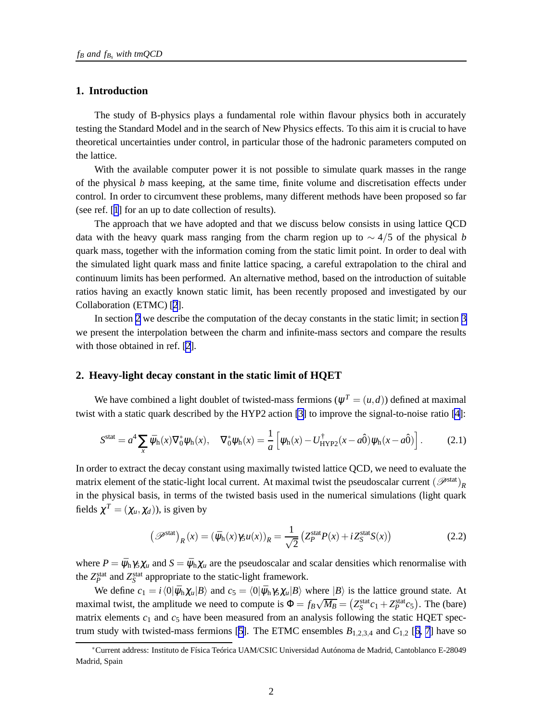#### **1. Introduction**

The study of B-physics plays a fundamental role within flavour physics both in accurately testing the Standard Model and in the search of New Physics effects. To this aim it is crucial to have theoretical uncertainties under control, in particular those of the hadronic parameters computed on the lattice.

With the available computer power it is not possible to simulate quark masses in the range of the physical *b* mass keeping, at the same time, finite volume and discretisation effects under control. In order to circumvent these problems, many different methods have been proposed so far (see ref. [[1](#page-6-0)] for an up to date collection of results).

The approach that we have adopted and that we discuss below consists in using lattice QCD data with the heavy quark mass ranging from the charm region up to ∼ 4/5 of the physical *b* quark mass, together with the information coming from the static limit point. In order to deal with the simulated light quark mass and finite lattice spacing, a careful extrapolation to the chiral and continuum limits has been performed. An alternative method, based on the introduction of suitable ratios having an exactly known static limit, has been recently proposed and investigated by our Collaboration (ETMC) [[2](#page-6-0)].

In section 2 we describe the computation of the decay constants in the static limit; in section [3](#page-4-0) we present the interpolation between the charm and infinite-mass sectors and compare the results with those obtained in ref. [[2](#page-6-0)].

#### **2. Heavy-light decay constant in the static limit of HQET**

We have combined a light doublet of twisted-mass fermions  $(\psi^T = (u, d))$  defined at maximal twist with a static quark described by the HYP2 action [\[3\]](#page-6-0) to improve the signal-to-noise ratio [\[4\]](#page-6-0):

$$
S^{\text{stat}} = a^4 \sum_{x} \bar{\psi}_{h}(x) \nabla_0^* \psi_{h}(x), \quad \nabla_0^* \psi_{h}(x) = \frac{1}{a} \left[ \psi_{h}(x) - U_{\text{HYP2}}^{\dagger}(x - a\hat{0}) \psi_{h}(x - a\hat{0}) \right]. \tag{2.1}
$$

In order to extract the decay constant using maximally twisted lattice QCD, we need to evaluate the matrix element of the static-light local current. At maximal twist the pseudoscalar current  $(\mathscr{P}^{\text{stat}})_{R}$ in the physical basis, in terms of the twisted basis used in the numerical simulations (light quark fields  $\chi^T = (\chi_u, \chi_d)$ ), is given by

$$
\left(\mathscr{P}^{\text{stat}}\right)_R(x) = \left(\bar{\psi}_h(x)\gamma_5 u(x)\right)_R = \frac{1}{\sqrt{2}} \left(Z_P^{\text{stat}} P(x) + i Z_S^{\text{stat}} S(x)\right) \tag{2.2}
$$

where  $P = \bar{\psi}_h \gamma_5 \chi_u$  and  $S = \bar{\psi}_h \chi_u$  are the pseudoscalar and scalar densities which renormalise with the  $Z_P^{\text{stat}}$  and  $Z_S^{\text{stat}}$  appropriate to the static-light framework.

We define  $c_1 = i \langle 0 | \bar{\psi}_h \chi_u | B \rangle$  and  $c_5 = \langle 0 | \bar{\psi}_h \gamma_5 \chi_u | B \rangle$  where  $|B \rangle$  is the lattice ground state. At maximal twist, the amplitude we need to compute is  $\Phi = f_B \sqrt{M_B} = (Z_S^{\text{stat}} c_1 + Z_P^{\text{stat}} c_5)$ . The (bare) matrix elements  $c_1$  and  $c_5$  have been measured from an analysis following the static HQET spec-trum study with twisted-mass fermions [[5](#page-6-0)]. The ETMC ensembles  $B_{1,2,3,4}$  and  $C_{1,2}$  [[6, 7](#page-6-0)] have so

<sup>∗</sup>Current address: Instituto de Física Teórica UAM/CSIC Universidad Autónoma de Madrid, Cantoblanco E-28049 Madrid, Spain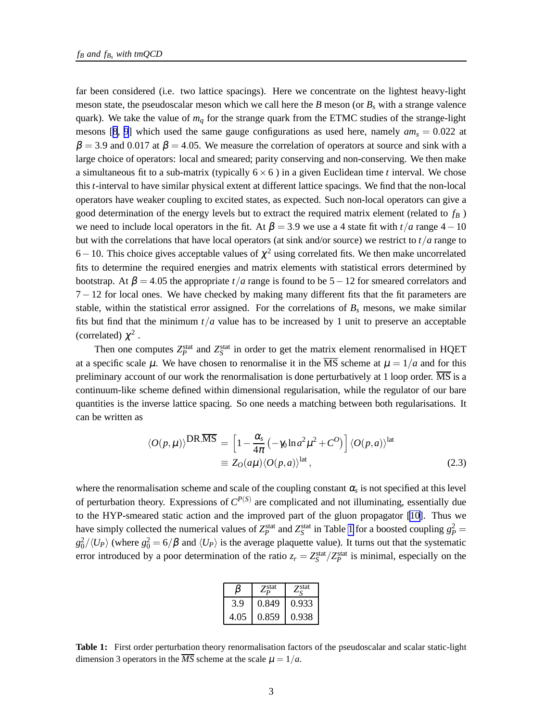far been considered (i.e. two lattice spacings). Here we concentrate on the lightest heavy-light meson state, the pseudoscalar meson which we call here the *B* meson (or *B<sup>s</sup>* with a strange valence quark). We take the value of *m<sup>q</sup>* for the strange quark from the ETMC studies of the strange-light mesons [[8](#page-6-0), [9](#page-6-0)] which used the same gauge configurations as used here, namely  $am_s = 0.022$  at  $\beta = 3.9$  and 0.017 at  $\beta = 4.05$ . We measure the correlation of operators at source and sink with a large choice of operators: local and smeared; parity conserving and non-conserving. We then make a simultaneous fit to a sub-matrix (typically  $6 \times 6$ ) in a given Euclidean time *t* interval. We chose this *t*-interval to have similar physical extent at different lattice spacings. We find that the non-local operators have weaker coupling to excited states, as expected. Such non-local operators can give a good determination of the energy levels but to extract the required matrix element (related to *f<sup>B</sup>* ) we need to include local operators in the fit. At  $\beta = 3.9$  we use a 4 state fit with  $t/a$  range 4 – 10 but with the correlations that have local operators (at sink and/or source) we restrict to *t*/*a* range to 6 – 10. This choice gives acceptable values of  $\chi^2$  using correlated fits. We then make uncorrelated fits to determine the required energies and matrix elements with statistical errors determined by bootstrap. At  $\beta = 4.05$  the appropriate  $t/a$  range is found to be  $5-12$  for smeared correlators and 7− 12 for local ones. We have checked by making many different fits that the fit parameters are stable, within the statistical error assigned. For the correlations of  $B<sub>s</sub>$  mesons, we make similar fits but find that the minimum  $t/a$  value has to be increased by 1 unit to preserve an acceptable (correlated)  $\chi^2$ .

Then one computes  $Z_P^{\text{stat}}$  and  $Z_S^{\text{stat}}$  in order to get the matrix element renormalised in HQET at a specific scale  $\mu$ . We have chosen to renormalise it in the  $\overline{\text{MS}}$  scheme at  $\mu = 1/a$  and for this preliminary account of our work the renormalisation is done perturbatively at 1 loop order.  $\overline{\text{MS}}$  is a continuum-like scheme defined within dimensional regularisation, while the regulator of our bare quantities is the inverse lattice spacing. So one needs a matching between both regularisations. It can be written as

$$
\langle O(p,\mu) \rangle^{\text{DR},\overline{\text{MS}}} = \left[ 1 - \frac{\alpha_s}{4\pi} \left( -\gamma_0 \ln a^2 \mu^2 + C^O \right) \right] \langle O(p,a) \rangle^{\text{lat}}
$$
  

$$
\equiv Z_O(a\mu) \langle O(p,a) \rangle^{\text{lat}}, \qquad (2.3)
$$

where the renormalisation scheme and scale of the coupling constant  $\alpha_s$  is not specified at this level of perturbation theory. Expressions of *C P*(*S*) are complicated and not illuminating, essentially due to the HYP-smeared static action and the improved part of the gluon propagator [\[10\]](#page-6-0). Thus we have simply collected the numerical values of  $Z_P^{\text{stat}}$  and  $Z_S^{\text{stat}}$  in Table 1 for a boosted coupling  $g_P^2$  =  $g_0^2/\langle U_P \rangle$  (where  $g_0^2 = 6/\beta$  and  $\langle U_P \rangle$  is the average plaquette value). It turns out that the systematic error introduced by a poor determination of the ratio  $z_r = Z_S^{\text{stat}}/Z_P^{\text{stat}}$  is minimal, especially on the

|      | $Z_{n}^{\text{stat}}$ | $Z_{\rm g}^{\rm stat}$ |
|------|-----------------------|------------------------|
| 3.9  | 0.849                 | 0.933                  |
| 4.05 | 0.859                 | 0.938                  |

**Table 1:** First order perturbation theory renormalisation factors of the pseudoscalar and scalar static-light dimension 3 operators in the  $\overline{MS}$  scheme at the scale  $\mu = 1/a$ .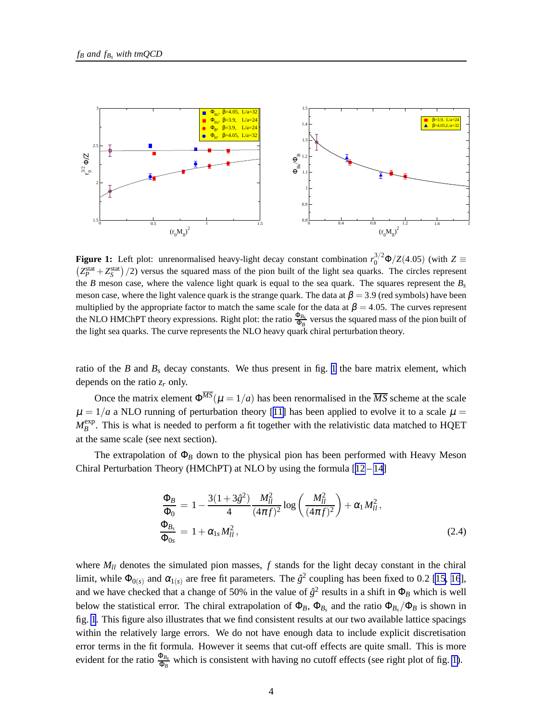<span id="page-3-0"></span>

**Figure 1:** Left plot: unrenormalised heavy-light decay constant combination  $r_0^{3/2} \Phi/Z(4.05)$  (with  $Z \equiv (Z_p^{\text{stat}} + Z_s^{\text{stat}})/2$ ) versus the squared mass of the pion built of the light sea quarks. The circles represent  $Z_P^{\text{stat}} + Z_S^{\text{stat}}$   $/2$  versus the squared mass of the pion built of the light sea quarks. The circles represent the *B* meson case, where the valence light quark is equal to the sea quark. The squares represent the *B<sup>s</sup>* meson case, where the light valence quark is the strange quark. The data at  $\beta = 3.9$  (red symbols) have been multiplied by the appropriate factor to match the same scale for the data at  $\beta = 4.05$ . The curves represent the NLO HMChPT theory expressions. Right plot: the ratio  $\frac{\Phi_{B_s}}{\Phi_B}$  versus the squared mass of the pion built of the light sea quarks. The curve represents the NLO heavy quark chiral perturbation theory.

ratio of the *B* and  $B_s$  decay constants. We thus present in fig. 1 the bare matrix element, which depends on the ratio  $z_r$  only.

Once the matrix element  $\Phi^{\overline{MS}}(\mu = 1/a)$  has been renormalised in the  $\overline{MS}$  scheme at the scale  $\mu = 1/a$  a NLO running of perturbation theory [[11\]](#page-7-0) has been applied to evolve it to a scale  $\mu =$  $M_{B}^{\rm exp}$  $B_B^{\text{exp}}$ . This is what is needed to perform a fit together with the relativistic data matched to HQET at the same scale (see next section).

The extrapolation of  $\Phi_B$  down to the physical pion has been performed with Heavy Meson Chiral Perturbation Theory (HMChPT) at NLO by using the formula  $[12-14]$  $[12-14]$  $[12-14]$ 

$$
\frac{\Phi_B}{\Phi_0} = 1 - \frac{3(1+3\hat{g}^2)}{4} \frac{M_{ll}^2}{(4\pi f)^2} \log\left(\frac{M_{ll}^2}{(4\pi f)^2}\right) + \alpha_1 M_{ll}^2,
$$
\n
$$
\frac{\Phi_{B_s}}{\Phi_{0s}} = 1 + \alpha_{1s} M_{ll}^2,
$$
\n(2.4)

where  $M_{ll}$  denotes the simulated pion masses,  $f$  stands for the light decay constant in the chiral limit, while  $\Phi_{0(s)}$  and  $\alpha_{1(s)}$  are free fit parameters. The  $\hat{g}^2$  coupling has been fixed to 0.2 [\[15, 16](#page-7-0)], and we have checked that a change of 50% in the value of  $\hat{g}^2$  results in a shift in  $\Phi_B$  which is well below the statistical error. The chiral extrapolation of  $\Phi_B$ ,  $\Phi_{B_s}$  and the ratio  $\Phi_{B_s}/\Phi_B$  is shown in fig. 1. This figure also illustrates that we find consistent results at our two available lattice spacings within the relatively large errors. We do not have enough data to include explicit discretisation error terms in the fit formula. However it seems that cut-off effects are quite small. This is more evident for the ratio  $\frac{\Phi_{B_s}}{\Phi_B}$  which is consistent with having no cutoff effects (see right plot of fig. 1).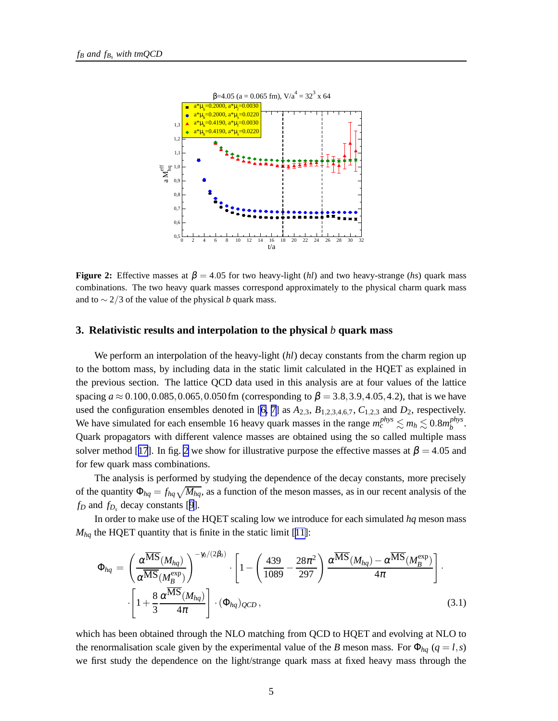<span id="page-4-0"></span>

**Figure 2:** Effective masses at  $\beta = 4.05$  for two heavy-light (*hl*) and two heavy-strange (*hs*) quark mass combinations. The two heavy quark masses correspond approximately to the physical charm quark mass and to ∼ 2/3 of the value of the physical *b* quark mass.

#### **3. Relativistic results and interpolation to the physical** *b* **quark mass**

We perform an interpolation of the heavy-light *(hl)* decay constants from the charm region up to the bottom mass, by including data in the static limit calculated in the HQET as explained in the previous section. The lattice QCD data used in this analysis are at four values of the lattice spacing  $a \approx 0.100, 0.085, 0.065, 0.050$  fm (corresponding to  $\beta = 3.8, 3.9, 4.05, 4.2$ ), that is we have used the configuration ensembles denoted in [\[6, 7](#page-6-0)] as  $A_{2,3}$ ,  $B_{1,2,3,4,6,7}$ ,  $C_{1,2,3}$  and  $D_2$ , respectively. We have simulated for each ensemble 16 heavy quark masses in the range  $m_c^{phys} \lesssim m_h \lesssim 0.8 m_b^{phys}$ pnys<br>b Quark propagators with different valence masses are obtained using the so called multiple mass solver method [[17](#page-7-0)]. In fig. 2 we show for illustrative purpose the effective masses at  $\beta = 4.05$  and for few quark mass combinations.

The analysis is performed by studying the dependence of the decay constants, more precisely of the quantity  $\Phi_{hq} = f_{hq} \sqrt{M_{hq}}$ , as a function of the meson masses, as in our recent analysis of the  $f_D$  and  $f_{D_s}$  decay constants [[9](#page-6-0)].

In order to make use of the HQET scaling low we introduce for each simulated *hq* meson mass  $M_{hq}$  the HQET quantity that is finite in the static limit [[11\]](#page-7-0):

$$
\Phi_{hq} = \left(\frac{\alpha^{\overline{\text{MS}}}(M_{hq})}{\alpha^{\overline{\text{MS}}}(M_B^{\exp})}\right)^{-\gamma_0/(2\beta_0)} \cdot \left[1 - \left(\frac{439}{1089} - \frac{28\pi^2}{297}\right) \frac{\alpha^{\overline{\text{MS}}}(M_{hq}) - \alpha^{\overline{\text{MS}}}(M_B^{\exp})}{4\pi}\right].
$$
\n
$$
\left[1 + \frac{8}{3} \frac{\alpha^{\overline{\text{MS}}}(M_{hq})}{4\pi}\right] \cdot (\Phi_{hq})_{QCD},
$$
\n(3.1)

which has been obtained through the NLO matching from QCD to HQET and evolving at NLO to the renormalisation scale given by the experimental value of the *B* meson mass. For  $\Phi_{hq}$  ( $q = l, s$ ) we first study the dependence on the light/strange quark mass at fixed heavy mass through the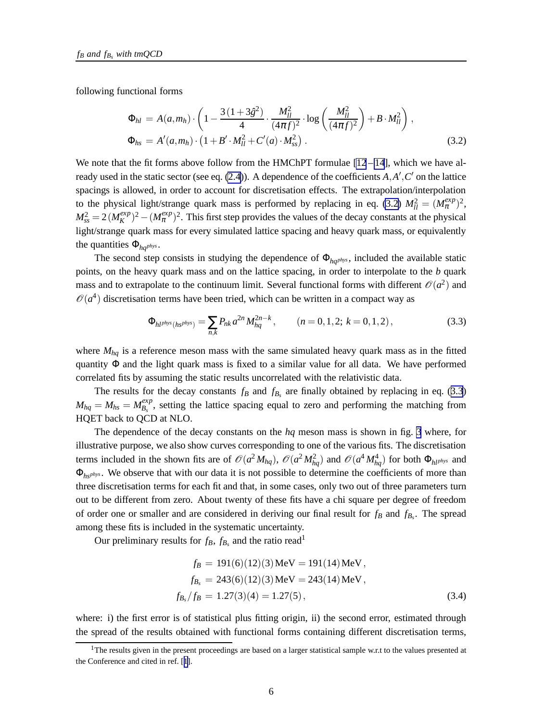<span id="page-5-0"></span>following functional forms

$$
\Phi_{hl} = A(a, m_h) \cdot \left( 1 - \frac{3(1 + 3\hat{g}^2)}{4} \cdot \frac{M_{ll}^2}{(4\pi f)^2} \cdot \log \left( \frac{M_{ll}^2}{(4\pi f)^2} \right) + B \cdot M_{ll}^2 \right),
$$
  
\n
$$
\Phi_{hs} = A'(a, m_h) \cdot \left( 1 + B' \cdot M_{ll}^2 + C'(a) \cdot M_{ss}^2 \right).
$$
\n(3.2)

We note that the fit forms above follow from the HMChPT formulae  $[12 - 14]$  $[12 - 14]$  $[12 - 14]$  $[12 - 14]$ , which we have already used in the static sector (see eq. [\(2.4](#page-3-0))). A dependence of the coefficients *A*,*A* ′ ,*C* ′ on the lattice spacings is allowed, in order to account for discretisation effects. The extrapolation/interpolation to the physical light/strange quark mass is performed by replacing in eq. (3.2)  $M_{ll}^2 = (M_{\pi}^{exp})^2$ ,  $M_{ss}^2 = 2(M_{K}^{exp})$  $K^{exp}(K)$ <sup>2</sup> –  $(M_{\pi}^{exp})^2$ . This first step provides the values of the decay constants at the physical light/strange quark mass for every simulated lattice spacing and heavy quark mass, or equivalently the quantities  $\Phi_{hq}$ <sub>*phys*</sub>.

The second step consists in studying the dependence of  $\Phi_{hq}$ *phys*, included the available static points, on the heavy quark mass and on the lattice spacing, in order to interpolate to the *b* quark mass and to extrapolate to the continuum limit. Several functional forms with different  $\mathcal{O}(a^2)$  and  $\mathcal{O}(a^4)$  discretisation terms have been tried, which can be written in a compact way as

$$
\Phi_{hl^{phys}(hs^{phys})} = \sum_{n,k} P_{nk} a^{2n} M_{hq}^{2n-k}, \qquad (n = 0, 1, 2; k = 0, 1, 2), \qquad (3.3)
$$

where  $M_{hq}$  is a reference meson mass with the same simulated heavy quark mass as in the fitted quantity  $\Phi$  and the light quark mass is fixed to a similar value for all data. We have performed correlated fits by assuming the static results uncorrelated with the relativistic data.

The results for the decay constants  $f_B$  and  $f_{B_s}$  are finally obtained by replacing in eq. (3.3)  $M_{hq} = M_{hs} = M_{B_s}^{exp}$  $\frac{exp}{B_s}$ , setting the lattice spacing equal to zero and performing the matching from HQET back to QCD at NLO.

The dependence of the decay constants on the *hq* meson mass is shown in fig. [3](#page-6-0) where, for illustrative purpose, we also show curves corresponding to one of the various fits. The discretisation terms included in the shown fits are of  $\mathcal{O}(a^2 M_{hq})$ ,  $\mathcal{O}(a^2 M_{hq}^2)$  and  $\mathcal{O}(a^4 M_{hq}^4)$  for both  $\Phi_{hl^{plys}}$  and Φ*hsphys*. We observe that with our data it is not possible to determine the coefficients of more than three discretisation terms for each fit and that, in some cases, only two out of three parameters turn out to be different from zero. About twenty of these fits have a chi square per degree of freedom of order one or smaller and are considered in deriving our final result for *f<sup>B</sup>* and *fB<sup>s</sup>* . The spread among these fits is included in the systematic uncertainty.

Our preliminary results for  $f_B$ ,  $f_{B_s}$  and the ratio read<sup>1</sup>

$$
f_B = 191(6)(12)(3) \text{MeV} = 191(14) \text{MeV},
$$
  
\n
$$
f_{B_s} = 243(6)(12)(3) \text{MeV} = 243(14) \text{MeV},
$$
  
\n
$$
f_{B_s}/f_B = 1.27(3)(4) = 1.27(5),
$$
\n(3.4)

where: i) the first error is of statistical plus fitting origin, ii) the second error, estimated through the spread of the results obtained with functional forms containing different discretisation terms,

<sup>&</sup>lt;sup>1</sup>The results given in the present proceedings are based on a larger statistical sample w.r.t to the values presented at the Conference and cited in ref. [[1](#page-6-0)].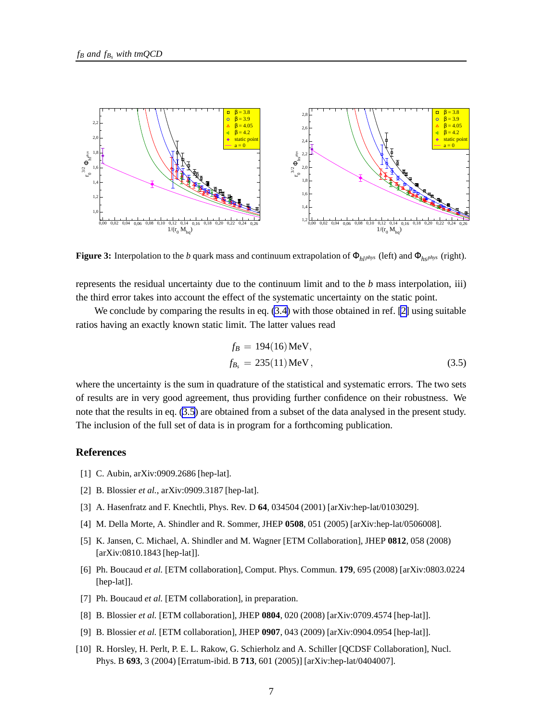<span id="page-6-0"></span>

**Figure 3:** Interpolation to the *b* quark mass and continuum extrapolation of  $\Phi_{h1}$ *phys* (left) and  $\Phi_{h2}$ *phys* (right).

represents the residual uncertainty due to the continuum limit and to the *b* mass interpolation, iii) the third error takes into account the effect of the systematic uncertainty on the static point.

We conclude by comparing the results in eq.  $(3.4)$  $(3.4)$  with those obtained in ref. [2] using suitable ratios having an exactly known static limit. The latter values read

$$
f_B = 194(16) \text{MeV}, f_{B_s} = 235(11) \text{MeV},
$$
 (3.5)

where the uncertainty is the sum in quadrature of the statistical and systematic errors. The two sets of results are in very good agreement, thus providing further confidence on their robustness. We note that the results in eq. (3.5) are obtained from a subset of the data analysed in the present study. The inclusion of the full set of data is in program for a forthcoming publication.

#### **References**

- [1] C. Aubin, arXiv:0909.2686 [hep-lat].
- [2] B. Blossier *et al.*, arXiv:0909.3187 [hep-lat].
- [3] A. Hasenfratz and F. Knechtli, Phys. Rev. D **64**, 034504 (2001) [arXiv:hep-lat/0103029].
- [4] M. Della Morte, A. Shindler and R. Sommer, JHEP **0508**, 051 (2005) [arXiv:hep-lat/0506008].
- [5] K. Jansen, C. Michael, A. Shindler and M. Wagner [ETM Collaboration], JHEP **0812**, 058 (2008) [arXiv:0810.1843 [hep-lat]].
- [6] Ph. Boucaud *et al.* [ETM collaboration], Comput. Phys. Commun. **179**, 695 (2008) [arXiv:0803.0224 [hep-lat]].
- [7] Ph. Boucaud *et al.* [ETM collaboration], in preparation.
- [8] B. Blossier *et al.* [ETM collaboration], JHEP **0804**, 020 (2008) [arXiv:0709.4574 [hep-lat]].
- [9] B. Blossier *et al.* [ETM collaboration], JHEP **0907**, 043 (2009) [arXiv:0904.0954 [hep-lat]].
- [10] R. Horsley, H. Perlt, P. E. L. Rakow, G. Schierholz and A. Schiller [QCDSF Collaboration], Nucl. Phys. B **693**, 3 (2004) [Erratum-ibid. B **713**, 601 (2005)] [arXiv:hep-lat/0404007].